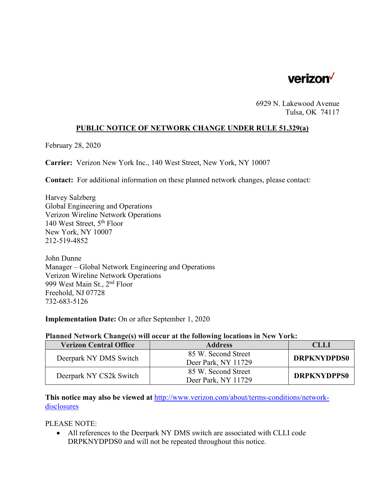

6929 N. Lakewood Avenue Tulsa, OK 74117

## **PUBLIC NOTICE OF NETWORK CHANGE UNDER RULE 51.329(a)**

February 28, 2020

**Carrier:** Verizon New York Inc., 140 West Street, New York, NY 10007

**Contact:** For additional information on these planned network changes, please contact:

Harvey Salzberg Global Engineering and Operations Verizon Wireline Network Operations 140 West Street, 5<sup>th</sup> Floor New York, NY 10007 212-519-4852

John Dunne Manager – Global Network Engineering and Operations Verizon Wireline Network Operations 999 West Main St., 2nd Floor Freehold, NJ 07728 732-683-5126

**Implementation Date:** On or after September 1, 2020

## **Planned Network Change(s) will occur at the following locations in New York:**

| <b>Verizon Central Office</b> | <b>Address</b>      | CLLI               |
|-------------------------------|---------------------|--------------------|
| Deerpark NY DMS Switch        | 85 W. Second Street | <b>DRPKNYDPDS0</b> |
|                               | Deer Park, NY 11729 |                    |
| Deerpark NY CS2k Switch       | 85 W. Second Street | <b>DRPKNYDPPS0</b> |
|                               | Deer Park, NY 11729 |                    |

**This notice may also be viewed at** http://www.verizon.com/about/terms-conditions/networkdisclosures

PLEASE NOTE:

 All references to the Deerpark NY DMS switch are associated with CLLI code DRPKNYDPDS0 and will not be repeated throughout this notice.